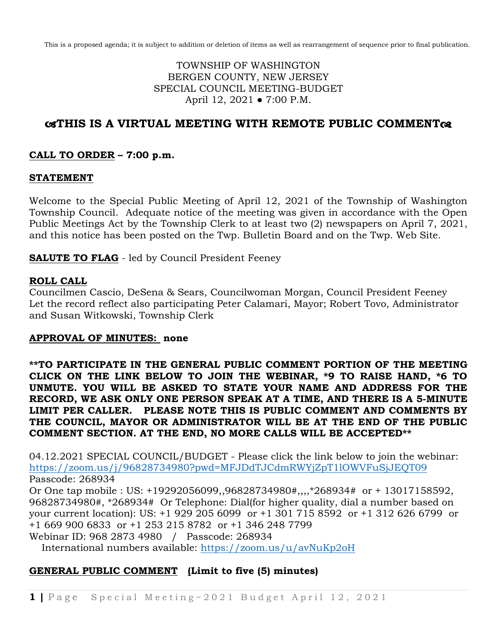This is a proposed agenda; it is subject to addition or deletion of items as well as rearrangement of sequence prior to final publication.

## TOWNSHIP OF WASHINGTON BERGEN COUNTY, NEW JERSEY SPECIAL COUNCIL MEETING-BUDGET April 12, 2021 ● 7:00 P.M.

# **THIS IS A VIRTUAL MEETING WITH REMOTE PUBLIC COMMENT**

### **CALL TO ORDER – 7:00 p.m.**

#### **STATEMENT**

Welcome to the Special Public Meeting of April 12, 2021 of the Township of Washington Township Council. Adequate notice of the meeting was given in accordance with the Open Public Meetings Act by the Township Clerk to at least two (2) newspapers on April 7, 2021, and this notice has been posted on the Twp. Bulletin Board and on the Twp. Web Site.

**SALUTE TO FLAG** - led by Council President Feeney

#### **ROLL CALL**

Councilmen Cascio, DeSena & Sears, Councilwoman Morgan, Council President Feeney Let the record reflect also participating Peter Calamari, Mayor; Robert Tovo, Administrator and Susan Witkowski, Township Clerk

#### **APPROVAL OF MINUTES: none**

**\*\*TO PARTICIPATE IN THE GENERAL PUBLIC COMMENT PORTION OF THE MEETING CLICK ON THE LINK BELOW TO JOIN THE WEBINAR, \*9 TO RAISE HAND, \*6 TO UNMUTE. YOU WILL BE ASKED TO STATE YOUR NAME AND ADDRESS FOR THE RECORD, WE ASK ONLY ONE PERSON SPEAK AT A TIME, AND THERE IS A 5-MINUTE LIMIT PER CALLER. PLEASE NOTE THIS IS PUBLIC COMMENT AND COMMENTS BY THE COUNCIL, MAYOR OR ADMINISTRATOR WILL BE AT THE END OF THE PUBLIC COMMENT SECTION. AT THE END, NO MORE CALLS WILL BE ACCEPTED\*\***

04.12.2021 SPECIAL COUNCIL/BUDGET - Please click the link below to join the webinar: <https://zoom.us/j/96828734980?pwd=MFJDdTJCdmRWYjZpT1lOWVFuSjJEQT09> Passcode: 268934

Or One tap mobile : US: +19292056099,,96828734980#,,,,\*268934# or + 13017158592, 96828734980#, \*268934# Or Telephone: Dial(for higher quality, dial a number based on your current location): US: +1 929 205 6099 or +1 301 715 8592 or +1 312 626 6799 or +1 669 900 6833 or +1 253 215 8782 or +1 346 248 7799 Webinar ID: 968 2873 4980 / Passcode: 268934

International numbers available:<https://zoom.us/u/avNuKp2oH>

## **GENERAL PUBLIC COMMENT (Limit to five (5) minutes)**